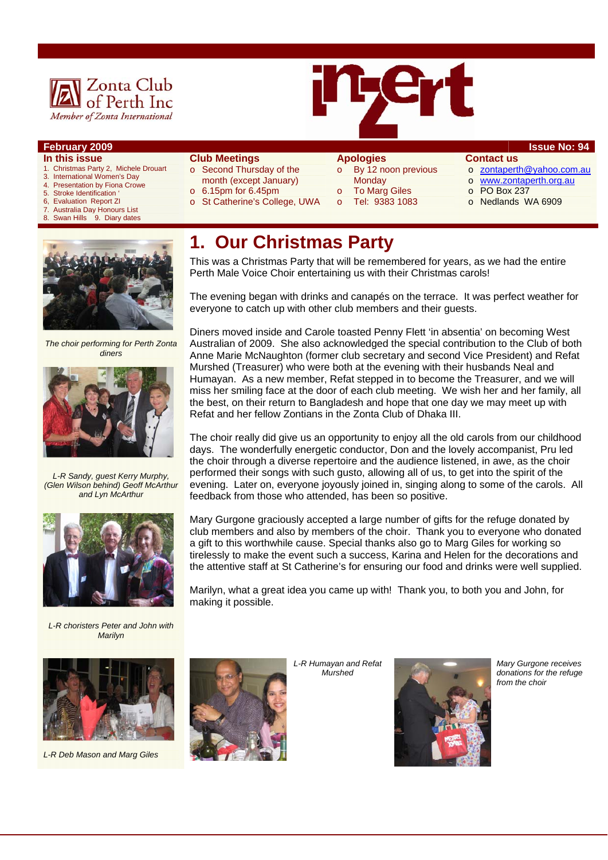



### **February 2009 Issue No: 94**

- **In this issue**
- 1. Christmas Party 2, Michele Drouart
- 3. International Women's Day 4. Presentation by Fiona Crowe
- 
- 5. Stroke Identification<br>6. Evaluation Report Z
- 6, Evaluation Report ZI<br>7. Australia Day Honour 7. Australia Day Honours List<br>8. Swan Hills 9. Diary dates
- Swan Hills 9. Diary dates
- **Club Meetings**
- o Second Thursday of the month (except January)
- $\circ$  6.15pm for 6.45pm
- o St Catherine's College, UWA

### **Apologies**

- o By 12 noon previous **Monday** 
	- **To Marg Giles**
- o Tel: 9383 1083
- **Contact us**
- o zontaperth@yahoo.com.au
- o www.zontaperth.org.au
- o PO Box 237
- o Nedlands WA 6909



*The choir performing for Perth Zonta diners* 



*L-R Sandy, guest Kerry Murphy, (Glen Wilson behind) Geoff McArthur and Lyn McArthur* 



*L-R choristers Peter and John with Marilyn* 



# **1. Our Christmas Party**

This was a Christmas Party that will be remembered for years, as we had the entire Perth Male Voice Choir entertaining us with their Christmas carols!

The evening began with drinks and canapés on the terrace. It was perfect weather for everyone to catch up with other club members and their guests.

Diners moved inside and Carole toasted Penny Flett 'in absentia' on becoming West Australian of 2009. She also acknowledged the special contribution to the Club of both Anne Marie McNaughton (former club secretary and second Vice President) and Refat Murshed (Treasurer) who were both at the evening with their husbands Neal and Humayan. As a new member, Refat stepped in to become the Treasurer, and we will miss her smiling face at the door of each club meeting. We wish her and her family, all the best, on their return to Bangladesh and hope that one day we may meet up with Refat and her fellow Zontians in the Zonta Club of Dhaka III.

The choir really did give us an opportunity to enjoy all the old carols from our childhood days. The wonderfully energetic conductor, Don and the lovely accompanist, Pru led the choir through a diverse repertoire and the audience listened, in awe, as the choir performed their songs with such gusto, allowing all of us, to get into the spirit of the evening. Later on, everyone joyously joined in, singing along to some of the carols. All feedback from those who attended, has been so positive.

Mary Gurgone graciously accepted a large number of gifts for the refuge donated by club members and also by members of the choir. Thank you to everyone who donated a gift to this worthwhile cause. Special thanks also go to Marg Giles for working so tirelessly to make the event such a success, Karina and Helen for the decorations and the attentive staff at St Catherine's for ensuring our food and drinks were well supplied.

Marilyn, what a great idea you came up with! Thank you, to both you and John, for making it possible.



*L-R Deb Mason and Marg Giles* 



*L-R Humayan and Refat Murshed* 



*Mary Gurgone receives donations for the refuge from the choir*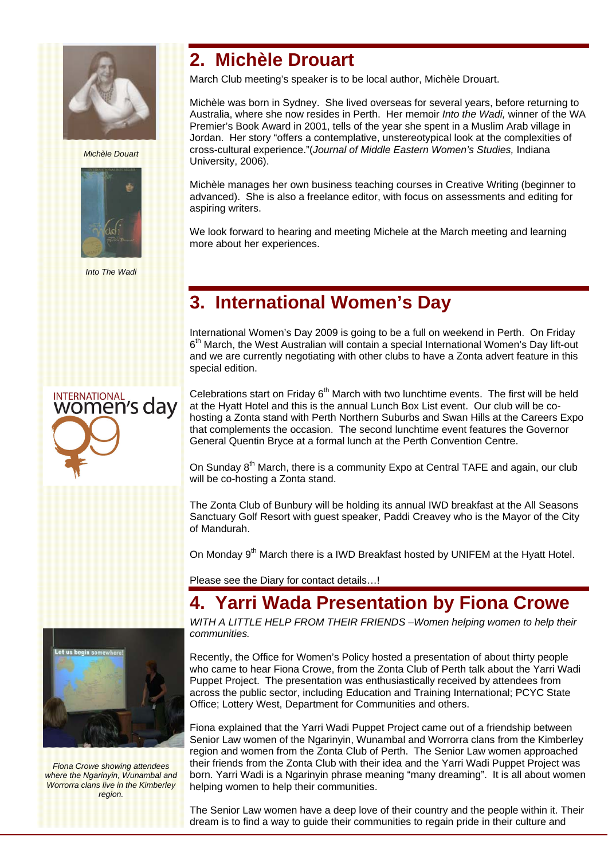

*Michèle Douart* 



*Into The Wadi* 

### **2. Michèle Drouart**

March Club meeting's speaker is to be local author, Michèle Drouart.

Michèle was born in Sydney. She lived overseas for several years, before returning to Australia, where she now resides in Perth. Her memoir *Into the Wadi,* winner of the WA Premier's Book Award in 2001, tells of the year she spent in a Muslim Arab village in Jordan. Her story "offers a contemplative, unstereotypical look at the complexities of cross-cultural experience."(*Journal of Middle Eastern Women's Studies,* Indiana University, 2006).

Michèle manages her own business teaching courses in Creative Writing (beginner to advanced). She is also a freelance editor, with focus on assessments and editing for aspiring writers.

We look forward to hearing and meeting Michele at the March meeting and learning more about her experiences.

## **3. International Women's Day**

International Women's Day 2009 is going to be a full on weekend in Perth. On Friday  $6<sup>th</sup>$  March, the West Australian will contain a special International Women's Day lift-out and we are currently negotiating with other clubs to have a Zonta advert feature in this special edition.

Celebrations start on Friday  $6<sup>th</sup>$  March with two lunchtime events. The first will be held at the Hyatt Hotel and this is the annual Lunch Box List event. Our club will be cohosting a Zonta stand with Perth Northern Suburbs and Swan Hills at the Careers Expo that complements the occasion. The second lunchtime event features the Governor General Quentin Bryce at a formal lunch at the Perth Convention Centre.

On Sunday 8<sup>th</sup> March, there is a community Expo at Central TAFE and again, our club will be co-hosting a Zonta stand.

The Zonta Club of Bunbury will be holding its annual IWD breakfast at the All Seasons Sanctuary Golf Resort with guest speaker, Paddi Creavey who is the Mayor of the City of Mandurah.

On Monday 9<sup>th</sup> March there is a IWD Breakfast hosted by UNIFEM at the Hyatt Hotel.

Please see the Diary for contact details…!

## **4. Yarri Wada Presentation by Fiona Crowe**

*WITH A LITTLE HELP FROM THEIR FRIENDS –Women helping women to help their communities.* 

Recently, the Office for Women's Policy hosted a presentation of about thirty people who came to hear Fiona Crowe, from the Zonta Club of Perth talk about the Yarri Wadi Puppet Project. The presentation was enthusiastically received by attendees from across the public sector, including Education and Training International; PCYC State Office; Lottery West, Department for Communities and others.

Fiona explained that the Yarri Wadi Puppet Project came out of a friendship between Senior Law women of the Ngarinyin, Wunambal and Worrorra clans from the Kimberley region and women from the Zonta Club of Perth. The Senior Law women approached their friends from the Zonta Club with their idea and the Yarri Wadi Puppet Project was born. Yarri Wadi is a Ngarinyin phrase meaning "many dreaming". It is all about women helping women to help their communities.

The Senior Law women have a deep love of their country and the people within it. Their dream is to find a way to guide their communities to regain pride in their culture and



*Fiona Crowe showing attendees where the Ngarinyin, Wunambal and Worrorra clans live in the Kimberley region.*

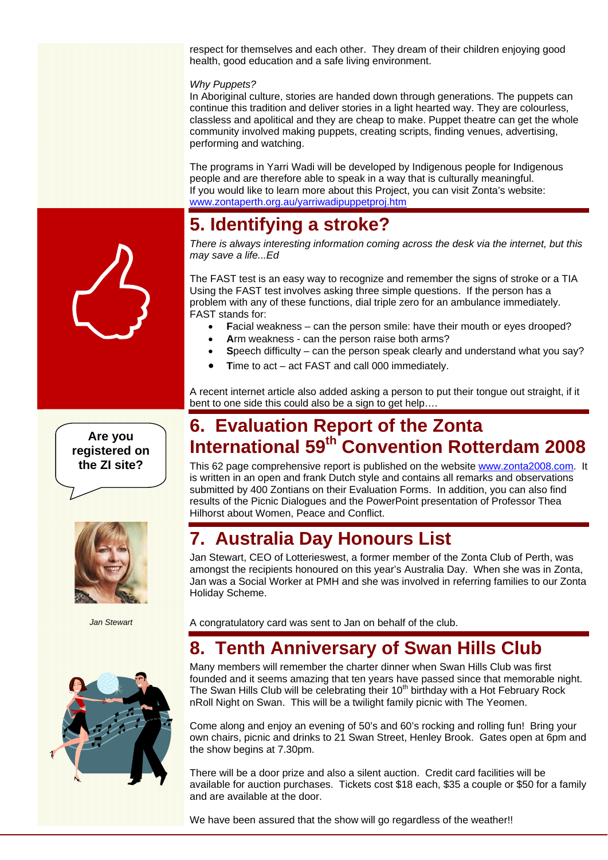respect for themselves and each other. They dream of their children enjoying good health, good education and a safe living environment.

#### *Why Puppets?*

In Aboriginal culture, stories are handed down through generations. The puppets can continue this tradition and deliver stories in a light hearted way. They are colourless, classless and apolitical and they are cheap to make. Puppet theatre can get the whole community involved making puppets, creating scripts, finding venues, advertising, performing and watching.

The programs in Yarri Wadi will be developed by Indigenous people for Indigenous people and are therefore able to speak in a way that is culturally meaningful. If you would like to learn more about this Project, you can visit Zonta's website: www.zontaperth.org.au/yarriwadipuppetproj.htm

### **5. Identifying a stroke?**

*There is always interesting information coming across the desk via the internet, but this may save a life...Ed* 

The FAST test is an easy way to recognize and remember the signs of stroke or a TIA Using the FAST test involves asking three simple questions. If the person has a problem with any of these functions, dial triple zero for an ambulance immediately. FAST stands for:

- **F**acial weakness can the person smile: have their mouth or eyes drooped?
- **A**rm weakness can the person raise both arms?
- **S**peech difficulty can the person speak clearly and understand what you say?
- **T**ime to act act FAST and call 000 immediately.

A recent internet article also added asking a person to put their tongue out straight, if it bent to one side this could also be a sign to get help….

### **6. Evaluation Report of the Zonta International 59th Convention Rotterdam 2008**

This 62 page comprehensive report is published on the website www.zonta2008.com. It is written in an open and frank Dutch style and contains all remarks and observations submitted by 400 Zontians on their Evaluation Forms. In addition, you can also find results of the Picnic Dialogues and the PowerPoint presentation of Professor Thea Hilhorst about Women, Peace and Conflict.

### **7. Australia Day Honours List**

Jan Stewart, CEO of Lotterieswest, a former member of the Zonta Club of Perth, was amongst the recipients honoured on this year's Australia Day. When she was in Zonta, Jan was a Social Worker at PMH and she was involved in referring families to our Zonta Holiday Scheme.

*Jan Stewart* 



A congratulatory card was sent to Jan on behalf of the club.

## **8. Tenth Anniversary of Swan Hills Club**

Many members will remember the charter dinner when Swan Hills Club was first founded and it seems amazing that ten years have passed since that memorable night. The Swan Hills Club will be celebrating their  $10<sup>th</sup>$  birthday with a Hot February Rock nRoll Night on Swan. This will be a twilight family picnic with The Yeomen.

Come along and enjoy an evening of 50's and 60's rocking and rolling fun! Bring your own chairs, picnic and drinks to 21 Swan Street, Henley Brook. Gates open at 6pm and the show begins at 7.30pm.

There will be a door prize and also a silent auction. Credit card facilities will be available for auction purchases. Tickets cost \$18 each, \$35 a couple or \$50 for a family and are available at the door.

We have been assured that the show will go regardless of the weather!!